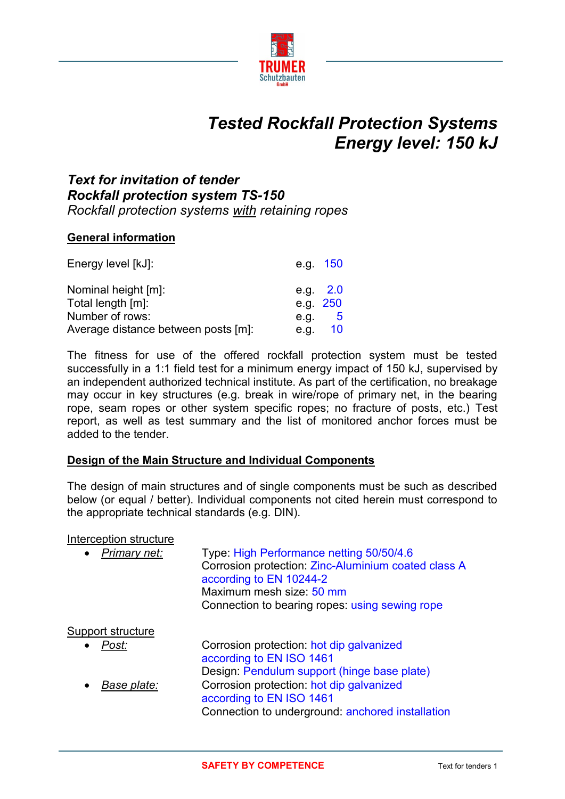

# *Tested Rockfall Protection Systems Energy level: 150 kJ*

### *Text for invitation of tender Rockfall protection system TS-150 Rockfall protection systems with retaining ropes*

#### **General information**

| Energy level [kJ]:                  |          | e.g. 150   |
|-------------------------------------|----------|------------|
| Nominal height [m]:                 |          | e.g. $2.0$ |
| Total length [m]:                   | e.g. 250 |            |
| Number of rows:                     | e.g.     | $-5$       |
| Average distance between posts [m]: | e.g.     | 10         |

The fitness for use of the offered rockfall protection system must be tested successfully in a 1:1 field test for a minimum energy impact of 150 kJ, supervised by an independent authorized technical institute. As part of the certification, no breakage may occur in key structures (e.g. break in wire/rope of primary net, in the bearing rope, seam ropes or other system specific ropes; no fracture of posts, etc.) Test report, as well as test summary and the list of monitored anchor forces must be added to the tender.

#### **Design of the Main Structure and Individual Components**

The design of main structures and of single components must be such as described below (or equal / better). Individual components not cited herein must correspond to the appropriate technical standards (e.g. DIN).

#### Interception structure

| Primary net:<br>$\bullet$ | Type: High Performance netting 50/50/4.6<br>Corrosion protection: Zinc-Aluminium coated class A<br>according to EN 10244-2<br>Maximum mesh size: 50 mm<br>Connection to bearing ropes: using sewing rope |
|---------------------------|----------------------------------------------------------------------------------------------------------------------------------------------------------------------------------------------------------|
| Support structure         |                                                                                                                                                                                                          |
| Post:<br>$\bullet$        | Corrosion protection: hot dip galvanized<br>according to EN ISO 1461                                                                                                                                     |
|                           | Design: Pendulum support (hinge base plate)                                                                                                                                                              |
| Base plate:               | Corrosion protection: hot dip galvanized<br>according to EN ISO 1461                                                                                                                                     |
|                           | Connection to underground: anchored installation                                                                                                                                                         |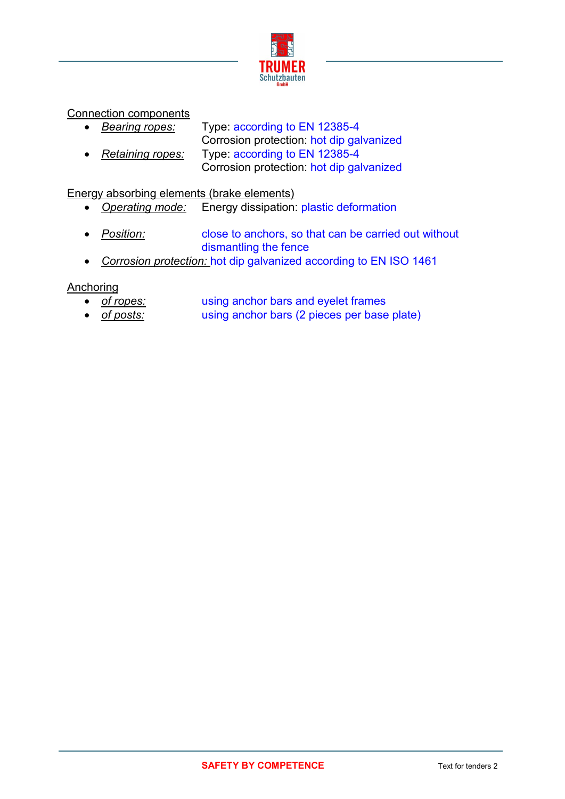

Connection components

 *Bearing ropes:* Type: according to EN 12385-4 Corrosion protection: hot dip galvanized *Retaining ropes:* Type: according to EN 12385-4 Corrosion protection: hot dip galvanized

Energy absorbing elements (brake elements)

- *Operating mode:* Energy dissipation: plastic deformation
- *Position:* close to anchors, so that can be carried out without dismantling the fence
- *Corrosion protection:* hot dip galvanized according to EN ISO 1461

**Anchoring** 

- *of ropes:* using anchor bars and eyelet frames
- *of posts:* using anchor bars (2 pieces per base plate)